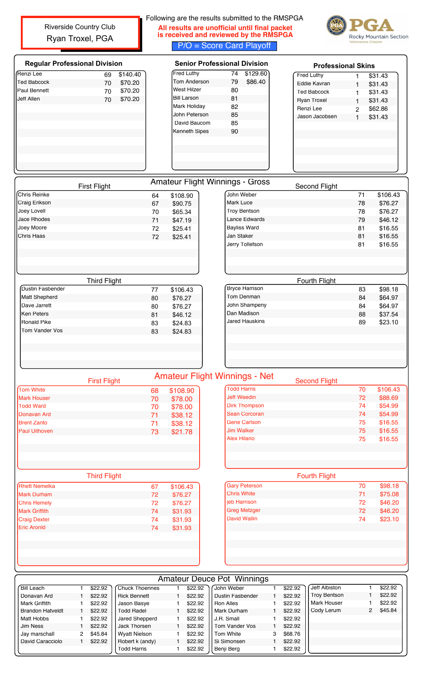Riverside Country Club Ryan Troxel, PGA

## Following are the results submitted to the RMSPGA **All results are unofficial until final packet is received and reviewed by the RMSPGA** P/O = Score Card Playoff



|                                                                                                                  | <b>Regular Professional Division</b> |          |          |                      | <b>Senior Professional Division</b>    | <b>Professional Skins</b> |                |                                                                                                            |  |  |
|------------------------------------------------------------------------------------------------------------------|--------------------------------------|----------|----------|----------------------|----------------------------------------|---------------------------|----------------|------------------------------------------------------------------------------------------------------------|--|--|
| Renzi Lee                                                                                                        | 69                                   | \$140.40 |          | Fred Luthy           | \$129.60<br>74                         | <b>Fred Luthy</b>         | $\mathbf{1}$   | \$31.43                                                                                                    |  |  |
| <b>Ted Babcock</b>                                                                                               | 70                                   | \$70.20  |          | Tom Anderson         | 79<br>\$86.40                          | Eddie Kavran              | $\mathbf{1}$   | \$31.43                                                                                                    |  |  |
| <b>Paul Bennett</b>                                                                                              | 70                                   | \$70.20  |          | <b>West Hilzer</b>   | 80                                     | <b>Ted Babcock</b>        | 1              | \$31.43                                                                                                    |  |  |
| Jeff Allen                                                                                                       | 70                                   | \$70.20  |          | <b>Bill Larson</b>   | 81                                     | <b>Ryan Troxel</b>        | $\mathbf{1}$   | \$31.43                                                                                                    |  |  |
|                                                                                                                  |                                      |          |          | Mark Holiday         | 82                                     | Renzi Lee                 | $\overline{2}$ | \$62.86                                                                                                    |  |  |
|                                                                                                                  |                                      |          |          | John Peterson        | 85                                     | Jason Jacobsen            | $\mathbf{1}$   | \$31.43                                                                                                    |  |  |
|                                                                                                                  |                                      |          |          | David Baucom         | 85                                     |                           |                |                                                                                                            |  |  |
|                                                                                                                  |                                      |          |          | <b>Kenneth Sipes</b> | 90                                     |                           |                |                                                                                                            |  |  |
|                                                                                                                  |                                      |          |          |                      |                                        |                           |                |                                                                                                            |  |  |
|                                                                                                                  | <b>First Flight</b>                  |          |          |                      | <b>Amateur Flight Winnings - Gross</b> | Second Flight             |                |                                                                                                            |  |  |
| Chris Reinke                                                                                                     |                                      |          | 64       | \$108.90             | John Weber                             |                           | 71             | \$106.43                                                                                                   |  |  |
| Craig Erikson                                                                                                    |                                      |          | 67       | \$90.75              | Mark Luce                              |                           | 78             | \$76.27                                                                                                    |  |  |
| Joey Lovell                                                                                                      |                                      |          | 70       | \$65.34              | <b>Troy Bentson</b>                    |                           | 78             | \$76.27                                                                                                    |  |  |
| Jace Rhodes                                                                                                      |                                      |          | 71       | \$47.19              | <b>Lance Edwards</b>                   |                           | 79             | \$46.12                                                                                                    |  |  |
| Joey Moore                                                                                                       |                                      |          | 72       | \$25.41              | <b>Bayliss Ward</b>                    |                           | 81             | \$16.55                                                                                                    |  |  |
| Chris Haas                                                                                                       |                                      |          | 72       | \$25.41              | Jan Staker                             |                           | 81             | \$16.55                                                                                                    |  |  |
|                                                                                                                  |                                      |          |          |                      | Jerry Tollefson                        |                           | 81             | \$16.55                                                                                                    |  |  |
|                                                                                                                  |                                      |          |          |                      |                                        | Fourth Flight             |                |                                                                                                            |  |  |
| Dustin Fasbender                                                                                                 | <b>Third Flight</b>                  |          | 77       | \$106.43             | <b>Bryce Harrison</b>                  |                           | 83             | \$98.18                                                                                                    |  |  |
| Matt Shepherd                                                                                                    |                                      |          |          |                      | Tom Denman                             |                           | 84             | \$64.97                                                                                                    |  |  |
| Dave Jarrett                                                                                                     |                                      |          | 80       | \$76.27              | John Shampeny                          |                           | 84             | \$64.97                                                                                                    |  |  |
| <b>Ken Peters</b>                                                                                                |                                      |          | 80       | \$76.27              | Dan Madison                            |                           |                |                                                                                                            |  |  |
| <b>Ronald Pike</b>                                                                                               |                                      |          | 81       | \$46.12              | <b>Jared Hauskins</b>                  |                           | 88<br>89       | \$37.54<br>\$23.10                                                                                         |  |  |
| Tom Vander Vos                                                                                                   |                                      |          | 83<br>83 | \$24.83<br>\$24.83   |                                        |                           |                |                                                                                                            |  |  |
|                                                                                                                  |                                      |          |          |                      |                                        |                           |                |                                                                                                            |  |  |
|                                                                                                                  |                                      |          |          |                      | <b>Amateur Flight Winnings - Net</b>   |                           |                |                                                                                                            |  |  |
|                                                                                                                  | <b>First Flight</b>                  |          | 68       | \$108.90             | Todd Harris                            | <b>Second Flight</b>      | 70             | \$106.43                                                                                                   |  |  |
|                                                                                                                  |                                      |          | 70       | \$78.00              | <b>Jeff Weedin</b>                     |                           | 72             |                                                                                                            |  |  |
|                                                                                                                  |                                      |          | 70       | \$78.00              | <b>Dirk Thompson</b>                   |                           | 74             |                                                                                                            |  |  |
|                                                                                                                  |                                      |          | 71       |                      | <b>Sean Corcoran</b>                   |                           | 74             |                                                                                                            |  |  |
|                                                                                                                  |                                      |          |          | \$38.12              | <b>Gene Carlson</b>                    |                           | 75             |                                                                                                            |  |  |
| Tom White<br><b>Mark Houser</b><br><b>Todd Ward</b><br>Donavan Ard<br><b>Brent Zanto</b><br><b>Paul Uithoven</b> |                                      |          | 71       | \$38.12              | <b>Jim Walker</b>                      |                           | 75             |                                                                                                            |  |  |
|                                                                                                                  |                                      |          | 73       | \$21.78              | <b>Alex Hilario</b>                    |                           | 75             |                                                                                                            |  |  |
|                                                                                                                  | <b>Third Flight</b>                  |          |          |                      |                                        | <b>Fourth Flight</b>      |                |                                                                                                            |  |  |
|                                                                                                                  |                                      |          | 67       | \$106.43             | <b>Gary Peterson</b>                   |                           | 70             |                                                                                                            |  |  |
|                                                                                                                  |                                      |          | 72       | \$76.27              | <b>Chris White</b>                     |                           | 71             |                                                                                                            |  |  |
|                                                                                                                  |                                      |          | 72       | \$76.27              | jeb Harrison                           |                           | 72             |                                                                                                            |  |  |
| Rhett Nemelka<br><b>Mark Durham</b><br><b>Chris Remely</b><br><b>Mark Griffith</b>                               |                                      |          | 74       | \$31.93              | <b>Greg Metzger</b>                    |                           | 72             | \$88.69<br>\$54.99<br>\$54.99<br>\$16.55<br>\$16.55<br>\$16.55<br>\$98.18<br>\$75.08<br>\$46.20<br>\$46.20 |  |  |
| <b>Craig Dexter</b>                                                                                              |                                      |          | 74       | \$31.93              | <b>David Wallin</b>                    |                           | 74             | \$23.10                                                                                                    |  |  |
| <b>Eric Aronld</b>                                                                                               |                                      |          | 74       | \$31.93              |                                        |                           |                |                                                                                                            |  |  |

|                         |         |                      |         | ANGUU DEUCE I UL WINNINGS |   |         |                     |         |
|-------------------------|---------|----------------------|---------|---------------------------|---|---------|---------------------|---------|
| <b>Bill Leach</b>       | \$22.92 | Chuck Thoennes       | \$22.92 | John Weber                |   | \$22.92 | Jeff Albiston       | \$22.92 |
| Donavan Ard             | \$22.92 | <b>Rick Bennett</b>  | \$22.92 | Dustin Fasbender          |   | \$22.92 | <b>Troy Bentson</b> | \$22.92 |
| Mark Griffith           | \$22.92 | Jason Basve          | \$22.92 | <b>Ron Alles</b>          |   | \$22.92 | Mark Houser         | \$22.92 |
| <b>Brandon Hatveldt</b> | \$22.92 | <b>Todd Radel</b>    | \$22.92 | l Mark Durham             |   | \$22.92 | Cody Lerum          | \$45.84 |
| Matt Hobbs              | \$22.92 | Jared Shepperd       | \$22.92 | J.R. Small                |   | \$22.92 |                     |         |
| Jim Ness                | \$22.92 | Jack Thorsen         | \$22.92 | Tom Vander Vos            |   | \$22.92 |                     |         |
| Jay marschall           | \$45.84 | <b>Wyatt Nielson</b> | \$22.92 | Tom White                 | 3 | \$68.76 |                     |         |
| David Caracciolo        | \$22.92 | Robert k (andy)      | \$22.92 | Si Simonsen               |   | \$22.92 |                     |         |
|                         |         | Todd Harris          | \$22.92 | l Benii Bera              |   | \$22.92 |                     |         |